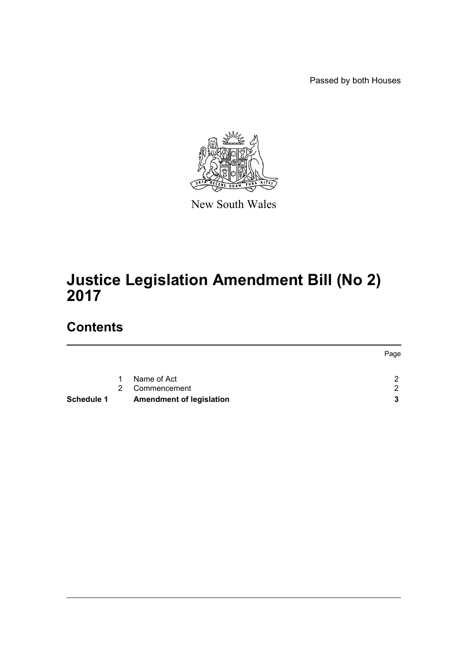Passed by both Houses



New South Wales

# **Justice Legislation Amendment Bill (No 2) 2017**

# **Contents**

| <b>Schedule 1</b> |               | <b>Amendment of legislation</b> |      |
|-------------------|---------------|---------------------------------|------|
|                   | $\mathcal{P}$ | Commencement                    | ົ    |
|                   | $\mathbf{1}$  | Name of Act                     | C    |
|                   |               |                                 | Page |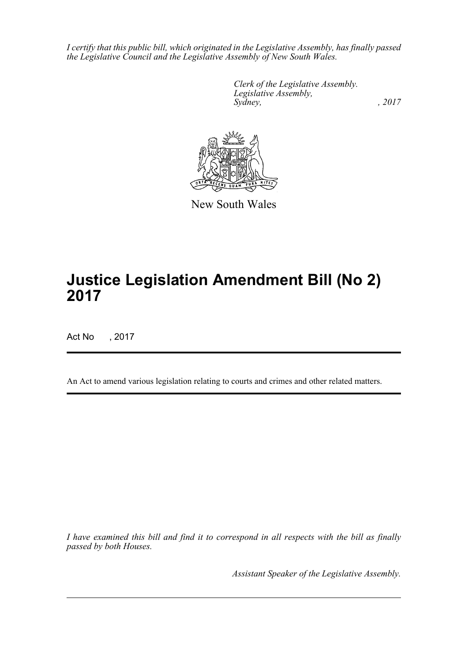*I certify that this public bill, which originated in the Legislative Assembly, has finally passed the Legislative Council and the Legislative Assembly of New South Wales.*

> *Clerk of the Legislative Assembly. Legislative Assembly, Sydney,* , 2017



New South Wales

# **Justice Legislation Amendment Bill (No 2) 2017**

Act No , 2017

An Act to amend various legislation relating to courts and crimes and other related matters.

*I have examined this bill and find it to correspond in all respects with the bill as finally passed by both Houses.*

*Assistant Speaker of the Legislative Assembly.*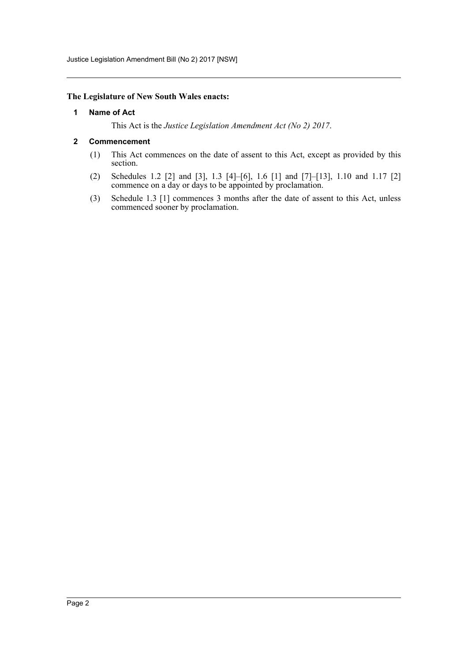Justice Legislation Amendment Bill (No 2) 2017 [NSW]

#### <span id="page-2-0"></span>**The Legislature of New South Wales enacts:**

#### **1 Name of Act**

This Act is the *Justice Legislation Amendment Act (No 2) 2017*.

#### <span id="page-2-1"></span>**2 Commencement**

- (1) This Act commences on the date of assent to this Act, except as provided by this section.
- (2) Schedules 1.2 [2] and [3], 1.3 [4]–[6], 1.6 [1] and [7]–[13], 1.10 and 1.17 [2] commence on a day or days to be appointed by proclamation.
- (3) Schedule 1.3 [1] commences 3 months after the date of assent to this Act, unless commenced sooner by proclamation.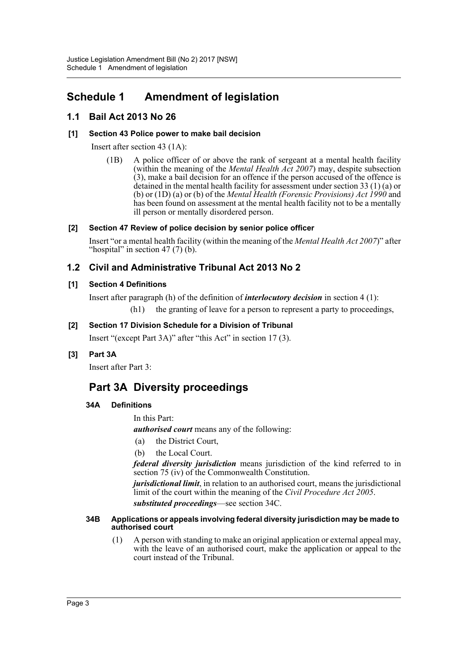# <span id="page-3-0"></span>**Schedule 1 Amendment of legislation**

## **1.1 Bail Act 2013 No 26**

## **[1] Section 43 Police power to make bail decision**

Insert after section 43 (1A):

(1B) A police officer of or above the rank of sergeant at a mental health facility (within the meaning of the *Mental Health Act 2007*) may, despite subsection  $(3)$ , make a bail decision for an offence if the person accused of the offence is detained in the mental health facility for assessment under section 33 (1) (a) or (b) or (1D) (a) or (b) of the *Mental Health (Forensic Provisions) Act 1990* and has been found on assessment at the mental health facility not to be a mentally ill person or mentally disordered person.

## **[2] Section 47 Review of police decision by senior police officer**

Insert "or a mental health facility (within the meaning of the *Mental Health Act 2007*)" after "hospital" in section  $47(7)$  (b).

## **1.2 Civil and Administrative Tribunal Act 2013 No 2**

## **[1] Section 4 Definitions**

Insert after paragraph (h) of the definition of *interlocutory decision* in section 4 (1): (h1) the granting of leave for a person to represent a party to proceedings,

## **[2] Section 17 Division Schedule for a Division of Tribunal**

Insert "(except Part 3A)" after "this Act" in section 17 (3).

## **[3] Part 3A**

Insert after Part 3:

## **Part 3A Diversity proceedings**

## **34A Definitions**

In this Part:

*authorised court* means any of the following:

- (a) the District Court,
- (b) the Local Court.

*federal diversity jurisdiction* means jurisdiction of the kind referred to in section 75 (iv) of the Commonwealth Constitution.

*jurisdictional limit*, in relation to an authorised court, means the jurisdictional limit of the court within the meaning of the *Civil Procedure Act 2005*.

*substituted proceedings*—see section 34C.

#### **34B Applications or appeals involving federal diversity jurisdiction may be made to authorised court**

(1) A person with standing to make an original application or external appeal may, with the leave of an authorised court, make the application or appeal to the court instead of the Tribunal.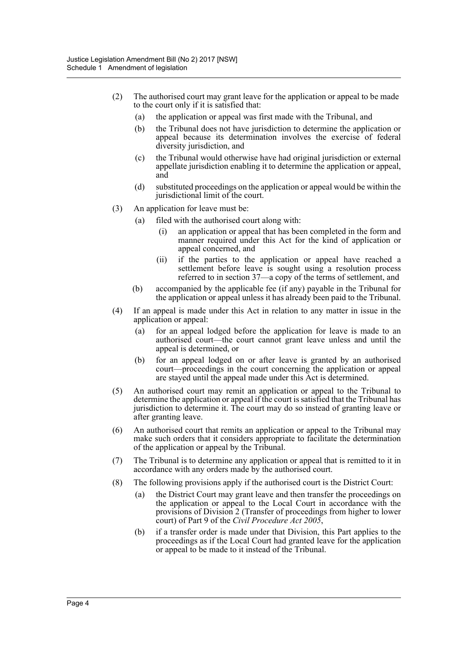- (2) The authorised court may grant leave for the application or appeal to be made to the court only if it is satisfied that:
	- (a) the application or appeal was first made with the Tribunal, and
	- (b) the Tribunal does not have jurisdiction to determine the application or appeal because its determination involves the exercise of federal diversity jurisdiction, and
	- (c) the Tribunal would otherwise have had original jurisdiction or external appellate jurisdiction enabling it to determine the application or appeal, and
	- (d) substituted proceedings on the application or appeal would be within the jurisdictional limit of the court.
- (3) An application for leave must be:
	- (a) filed with the authorised court along with:
		- (i) an application or appeal that has been completed in the form and manner required under this Act for the kind of application or appeal concerned, and
		- (ii) if the parties to the application or appeal have reached a settlement before leave is sought using a resolution process referred to in section 37—a copy of the terms of settlement, and
	- (b) accompanied by the applicable fee (if any) payable in the Tribunal for the application or appeal unless it has already been paid to the Tribunal.
- (4) If an appeal is made under this Act in relation to any matter in issue in the application or appeal:
	- (a) for an appeal lodged before the application for leave is made to an authorised court—the court cannot grant leave unless and until the appeal is determined, or
	- (b) for an appeal lodged on or after leave is granted by an authorised court—proceedings in the court concerning the application or appeal are stayed until the appeal made under this Act is determined.
- (5) An authorised court may remit an application or appeal to the Tribunal to determine the application or appeal if the court is satisfied that the Tribunal has jurisdiction to determine it. The court may do so instead of granting leave or after granting leave.
- (6) An authorised court that remits an application or appeal to the Tribunal may make such orders that it considers appropriate to facilitate the determination of the application or appeal by the Tribunal.
- (7) The Tribunal is to determine any application or appeal that is remitted to it in accordance with any orders made by the authorised court.
- (8) The following provisions apply if the authorised court is the District Court:
	- (a) the District Court may grant leave and then transfer the proceedings on the application or appeal to the Local Court in accordance with the provisions of Division 2 (Transfer of proceedings from higher to lower court) of Part 9 of the *Civil Procedure Act 2005*,
	- (b) if a transfer order is made under that Division, this Part applies to the proceedings as if the Local Court had granted leave for the application or appeal to be made to it instead of the Tribunal.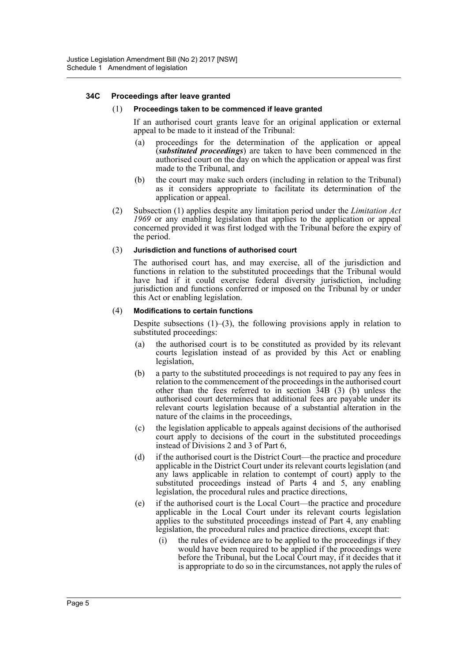#### **34C Proceedings after leave granted**

#### (1) **Proceedings taken to be commenced if leave granted**

If an authorised court grants leave for an original application or external appeal to be made to it instead of the Tribunal:

- (a) proceedings for the determination of the application or appeal (*substituted proceedings*) are taken to have been commenced in the authorised court on the day on which the application or appeal was first made to the Tribunal, and
- (b) the court may make such orders (including in relation to the Tribunal) as it considers appropriate to facilitate its determination of the application or appeal.
- (2) Subsection (1) applies despite any limitation period under the *Limitation Act 1969* or any enabling legislation that applies to the application or appeal concerned provided it was first lodged with the Tribunal before the expiry of the period.

#### (3) **Jurisdiction and functions of authorised court**

The authorised court has, and may exercise, all of the jurisdiction and functions in relation to the substituted proceedings that the Tribunal would have had if it could exercise federal diversity jurisdiction, including jurisdiction and functions conferred or imposed on the Tribunal by or under this Act or enabling legislation.

#### (4) **Modifications to certain functions**

Despite subsections  $(1)$ – $(3)$ , the following provisions apply in relation to substituted proceedings:

- (a) the authorised court is to be constituted as provided by its relevant courts legislation instead of as provided by this Act or enabling legislation,
- (b) a party to the substituted proceedings is not required to pay any fees in relation to the commencement of the proceedings in the authorised court other than the fees referred to in section  $\overline{3}4B$  (3) (b) unless the authorised court determines that additional fees are payable under its relevant courts legislation because of a substantial alteration in the nature of the claims in the proceedings,
- (c) the legislation applicable to appeals against decisions of the authorised court apply to decisions of the court in the substituted proceedings instead of Divisions 2 and 3 of Part 6,
- (d) if the authorised court is the District Court—the practice and procedure applicable in the District Court under its relevant courts legislation (and any laws applicable in relation to contempt of court) apply to the substituted proceedings instead of Parts 4 and 5, any enabling legislation, the procedural rules and practice directions,
- (e) if the authorised court is the Local Court—the practice and procedure applicable in the Local Court under its relevant courts legislation applies to the substituted proceedings instead of Part 4, any enabling legislation, the procedural rules and practice directions, except that:
	- (i) the rules of evidence are to be applied to the proceedings if they would have been required to be applied if the proceedings were before the Tribunal, but the Local Court may, if it decides that it is appropriate to do so in the circumstances, not apply the rules of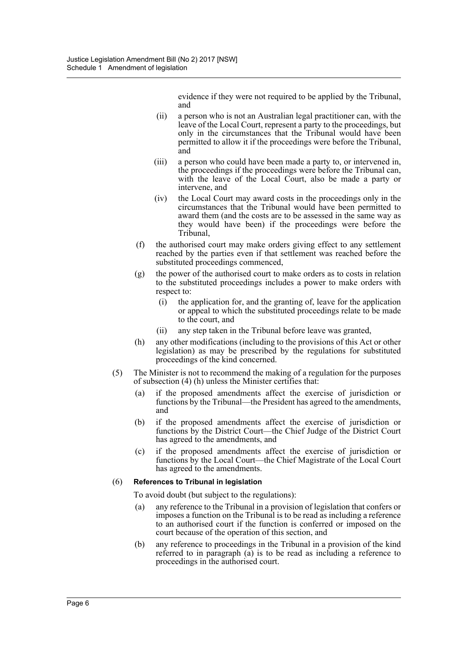evidence if they were not required to be applied by the Tribunal, and

- (ii) a person who is not an Australian legal practitioner can, with the leave of the Local Court, represent a party to the proceedings, but only in the circumstances that the Tribunal would have been permitted to allow it if the proceedings were before the Tribunal, and
- (iii) a person who could have been made a party to, or intervened in, the proceedings if the proceedings were before the Tribunal can, with the leave of the Local Court, also be made a party or intervene, and
- (iv) the Local Court may award costs in the proceedings only in the circumstances that the Tribunal would have been permitted to award them (and the costs are to be assessed in the same way as they would have been) if the proceedings were before the Tribunal,
- (f) the authorised court may make orders giving effect to any settlement reached by the parties even if that settlement was reached before the substituted proceedings commenced,
- (g) the power of the authorised court to make orders as to costs in relation to the substituted proceedings includes a power to make orders with respect to:
	- (i) the application for, and the granting of, leave for the application or appeal to which the substituted proceedings relate to be made to the court, and
	- (ii) any step taken in the Tribunal before leave was granted,
- (h) any other modifications (including to the provisions of this Act or other legislation) as may be prescribed by the regulations for substituted proceedings of the kind concerned.
- (5) The Minister is not to recommend the making of a regulation for the purposes of subsection (4) (h) unless the Minister certifies that:
	- (a) if the proposed amendments affect the exercise of jurisdiction or functions by the Tribunal—the President has agreed to the amendments, and
	- (b) if the proposed amendments affect the exercise of jurisdiction or functions by the District Court—the Chief Judge of the District Court has agreed to the amendments, and
	- (c) if the proposed amendments affect the exercise of jurisdiction or functions by the Local Court—the Chief Magistrate of the Local Court has agreed to the amendments.

#### (6) **References to Tribunal in legislation**

To avoid doubt (but subject to the regulations):

- (a) any reference to the Tribunal in a provision of legislation that confers or imposes a function on the Tribunal is to be read as including a reference to an authorised court if the function is conferred or imposed on the court because of the operation of this section, and
- (b) any reference to proceedings in the Tribunal in a provision of the kind referred to in paragraph (a) is to be read as including a reference to proceedings in the authorised court.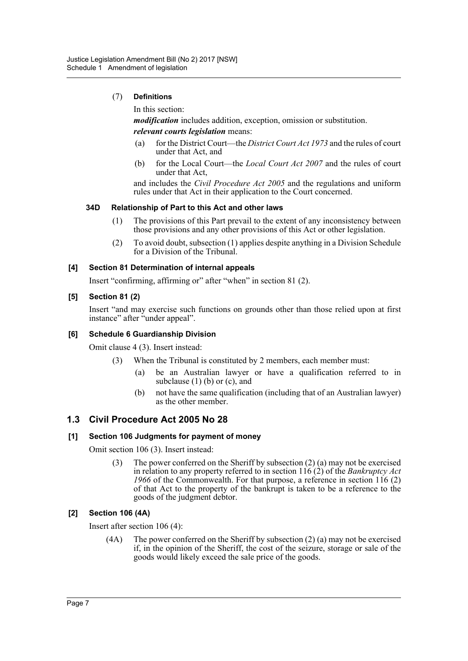## (7) **Definitions**

In this section:

*modification* includes addition, exception, omission or substitution.

## *relevant courts legislation* means:

- (a) for the District Court—the *District Court Act 1973* and the rules of court under that Act, and
- (b) for the Local Court—the *Local Court Act 2007* and the rules of court under that Act,

and includes the *Civil Procedure Act 2005* and the regulations and uniform rules under that Act in their application to the Court concerned.

#### **34D Relationship of Part to this Act and other laws**

- (1) The provisions of this Part prevail to the extent of any inconsistency between those provisions and any other provisions of this Act or other legislation.
- (2) To avoid doubt, subsection (1) applies despite anything in a Division Schedule for a Division of the Tribunal.

#### **[4] Section 81 Determination of internal appeals**

Insert "confirming, affirming or" after "when" in section 81 (2).

#### **[5] Section 81 (2)**

Insert "and may exercise such functions on grounds other than those relied upon at first instance" after "under appeal".

#### **[6] Schedule 6 Guardianship Division**

Omit clause 4 (3). Insert instead:

- (3) When the Tribunal is constituted by 2 members, each member must:
	- (a) be an Australian lawyer or have a qualification referred to in subclause  $(1)$  (b) or  $(c)$ , and
	- (b) not have the same qualification (including that of an Australian lawyer) as the other member.

## **1.3 Civil Procedure Act 2005 No 28**

#### **[1] Section 106 Judgments for payment of money**

Omit section 106 (3). Insert instead:

(3) The power conferred on the Sheriff by subsection (2) (a) may not be exercised in relation to any property referred to in section 116 (2) of the *Bankruptcy Act 1966* of the Commonwealth. For that purpose, a reference in section 116 (2) of that Act to the property of the bankrupt is taken to be a reference to the goods of the judgment debtor.

#### **[2] Section 106 (4A)**

Insert after section 106 (4):

(4A) The power conferred on the Sheriff by subsection (2) (a) may not be exercised if, in the opinion of the Sheriff, the cost of the seizure, storage or sale of the goods would likely exceed the sale price of the goods.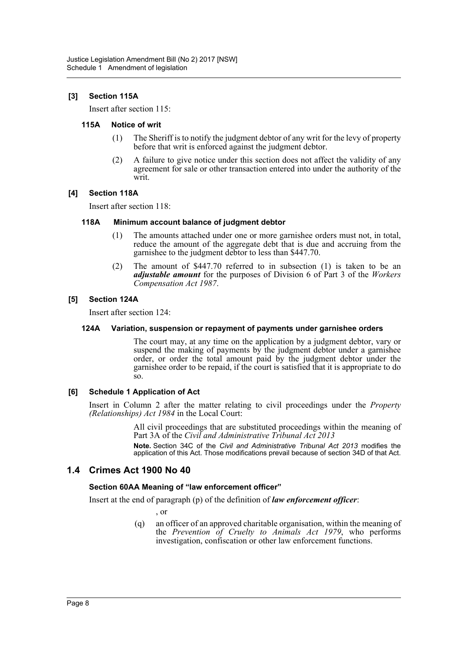## **[3] Section 115A**

Insert after section 115:

#### **115A Notice of writ**

- (1) The Sheriff is to notify the judgment debtor of any writ for the levy of property before that writ is enforced against the judgment debtor.
- (2) A failure to give notice under this section does not affect the validity of any agreement for sale or other transaction entered into under the authority of the writ.

#### **[4] Section 118A**

Insert after section 118:

#### **118A Minimum account balance of judgment debtor**

- (1) The amounts attached under one or more garnishee orders must not, in total, reduce the amount of the aggregate debt that is due and accruing from the garnishee to the judgment debtor to less than \$447.70.
- (2) The amount of \$447.70 referred to in subsection (1) is taken to be an *adjustable amount* for the purposes of Division 6 of Part 3 of the *Workers Compensation Act 1987*.

#### **[5] Section 124A**

Insert after section 124:

#### **124A Variation, suspension or repayment of payments under garnishee orders**

The court may, at any time on the application by a judgment debtor, vary or suspend the making of payments by the judgment debtor under a garnishee order, or order the total amount paid by the judgment debtor under the garnishee order to be repaid, if the court is satisfied that it is appropriate to do so.

#### **[6] Schedule 1 Application of Act**

Insert in Column 2 after the matter relating to civil proceedings under the *Property (Relationships) Act 1984* in the Local Court:

> All civil proceedings that are substituted proceedings within the meaning of Part 3A of the *Civil and Administrative Tribunal Act 2013*

> **Note.** Section 34C of the *Civil and Administrative Tribunal Act 2013* modifies the application of this Act. Those modifications prevail because of section 34D of that Act.

## **1.4 Crimes Act 1900 No 40**

#### **Section 60AA Meaning of "law enforcement officer"**

Insert at the end of paragraph (p) of the definition of *law enforcement officer*:

, or

(q) an officer of an approved charitable organisation, within the meaning of the *Prevention of Cruelty to Animals Act 1979*, who performs investigation, confiscation or other law enforcement functions.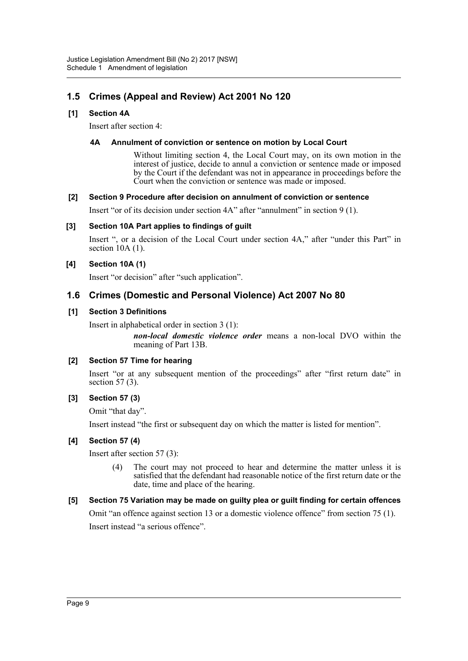## **1.5 Crimes (Appeal and Review) Act 2001 No 120**

## **[1] Section 4A**

Insert after section 4:

## **4A Annulment of conviction or sentence on motion by Local Court**

Without limiting section 4, the Local Court may, on its own motion in the interest of justice, decide to annul a conviction or sentence made or imposed by the Court if the defendant was not in appearance in proceedings before the Court when the conviction or sentence was made or imposed.

## **[2] Section 9 Procedure after decision on annulment of conviction or sentence**

Insert "or of its decision under section 4A" after "annulment" in section 9 (1).

## **[3] Section 10A Part applies to findings of guilt**

Insert ", or a decision of the Local Court under section 4A," after "under this Part" in section  $10A(1)$ .

## **[4] Section 10A (1)**

Insert "or decision" after "such application".

## **1.6 Crimes (Domestic and Personal Violence) Act 2007 No 80**

## **[1] Section 3 Definitions**

Insert in alphabetical order in section 3 (1):

*non-local domestic violence order* means a non-local DVO within the meaning of Part 13B.

## **[2] Section 57 Time for hearing**

Insert "or at any subsequent mention of the proceedings" after "first return date" in section  $57(3)$ .

## **[3] Section 57 (3)**

Omit "that day".

Insert instead "the first or subsequent day on which the matter is listed for mention".

## **[4] Section 57 (4)**

Insert after section 57 (3):

(4) The court may not proceed to hear and determine the matter unless it is satisfied that the defendant had reasonable notice of the first return date or the date, time and place of the hearing.

## **[5] Section 75 Variation may be made on guilty plea or guilt finding for certain offences**

Omit "an offence against section 13 or a domestic violence offence" from section 75 (1). Insert instead "a serious offence".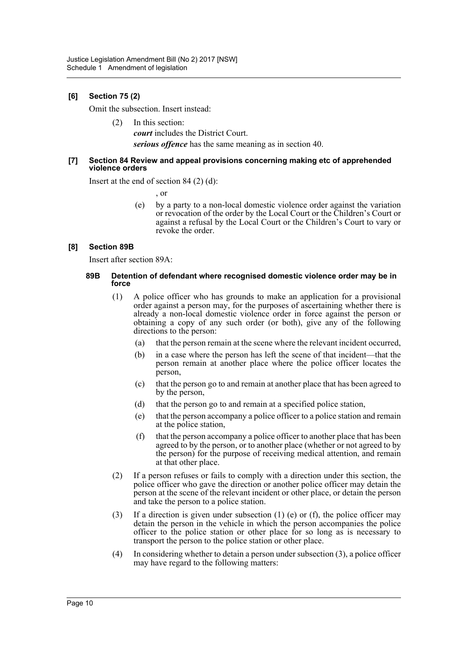## **[6] Section 75 (2)**

Omit the subsection. Insert instead:

(2) In this section: *court* includes the District Court. *serious offence* has the same meaning as in section 40.

#### **[7] Section 84 Review and appeal provisions concerning making etc of apprehended violence orders**

Insert at the end of section 84 (2) (d):

, or

(e) by a party to a non-local domestic violence order against the variation or revocation of the order by the Local Court or the Children's Court or against a refusal by the Local Court or the Children's Court to vary or revoke the order.

#### **[8] Section 89B**

Insert after section 89A:

#### **89B Detention of defendant where recognised domestic violence order may be in force**

- (1) A police officer who has grounds to make an application for a provisional order against a person may, for the purposes of ascertaining whether there is already a non-local domestic violence order in force against the person or obtaining a copy of any such order (or both), give any of the following directions to the person:
	- (a) that the person remain at the scene where the relevant incident occurred,
	- (b) in a case where the person has left the scene of that incident—that the person remain at another place where the police officer locates the person,
	- (c) that the person go to and remain at another place that has been agreed to by the person,
	- (d) that the person go to and remain at a specified police station,
	- (e) that the person accompany a police officer to a police station and remain at the police station,
	- (f) that the person accompany a police officer to another place that has been agreed to by the person, or to another place (whether or not agreed to by the person) for the purpose of receiving medical attention, and remain at that other place.
- (2) If a person refuses or fails to comply with a direction under this section, the police officer who gave the direction or another police officer may detain the person at the scene of the relevant incident or other place, or detain the person and take the person to a police station.
- (3) If a direction is given under subsection (1) (e) or (f), the police officer may detain the person in the vehicle in which the person accompanies the police officer to the police station or other place for so long as is necessary to transport the person to the police station or other place.
- (4) In considering whether to detain a person under subsection (3), a police officer may have regard to the following matters: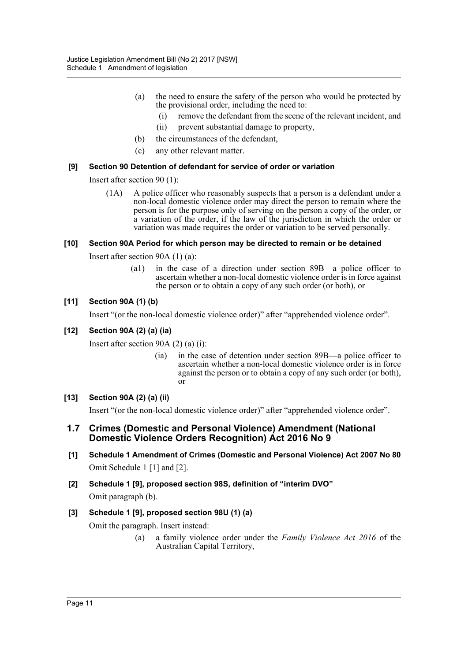- (a) the need to ensure the safety of the person who would be protected by the provisional order, including the need to:
	- (i) remove the defendant from the scene of the relevant incident, and
	- (ii) prevent substantial damage to property,
- (b) the circumstances of the defendant,
- (c) any other relevant matter.

## **[9] Section 90 Detention of defendant for service of order or variation**

Insert after section 90 (1):

(1A) A police officer who reasonably suspects that a person is a defendant under a non-local domestic violence order may direct the person to remain where the person is for the purpose only of serving on the person a copy of the order, or a variation of the order, if the law of the jurisdiction in which the order or variation was made requires the order or variation to be served personally.

## **[10] Section 90A Period for which person may be directed to remain or be detained**

Insert after section 90A (1) (a):

(a1) in the case of a direction under section 89B—a police officer to ascertain whether a non-local domestic violence order is in force against the person or to obtain a copy of any such order (or both), or

## **[11] Section 90A (1) (b)**

Insert "(or the non-local domestic violence order)" after "apprehended violence order".

## **[12] Section 90A (2) (a) (ia)**

Insert after section 90A (2) (a) (i):

(ia) in the case of detention under section 89B—a police officer to ascertain whether a non-local domestic violence order is in force against the person or to obtain a copy of any such order (or both), or

## **[13] Section 90A (2) (a) (ii)**

Insert "(or the non-local domestic violence order)" after "apprehended violence order".

## **1.7 Crimes (Domestic and Personal Violence) Amendment (National Domestic Violence Orders Recognition) Act 2016 No 9**

- **[1] Schedule 1 Amendment of Crimes (Domestic and Personal Violence) Act 2007 No 80** Omit Schedule 1 [1] and [2].
- **[2] Schedule 1 [9], proposed section 98S, definition of "interim DVO"** Omit paragraph (b).

## **[3] Schedule 1 [9], proposed section 98U (1) (a)**

Omit the paragraph. Insert instead:

(a) a family violence order under the *Family Violence Act 2016* of the Australian Capital Territory,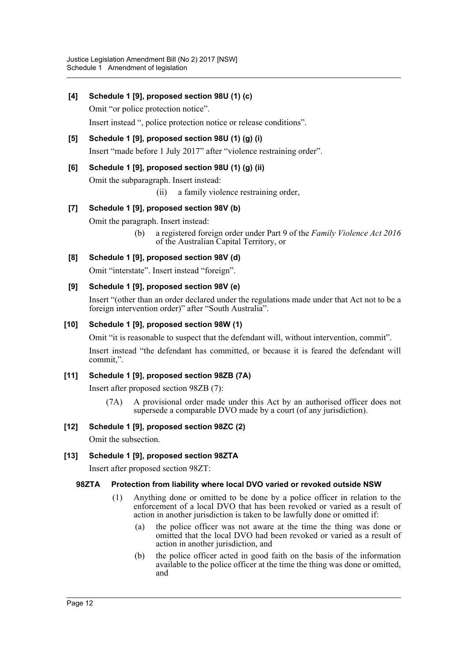**[4] Schedule 1 [9], proposed section 98U (1) (c)**

Omit "or police protection notice".

Insert instead ", police protection notice or release conditions".

**[5] Schedule 1 [9], proposed section 98U (1) (g) (i)** Insert "made before 1 July 2017" after "violence restraining order".

## **[6] Schedule 1 [9], proposed section 98U (1) (g) (ii)**

Omit the subparagraph. Insert instead:

(ii) a family violence restraining order,

## **[7] Schedule 1 [9], proposed section 98V (b)**

Omit the paragraph. Insert instead:

(b) a registered foreign order under Part 9 of the *Family Violence Act 2016* of the Australian Capital Territory, or

## **[8] Schedule 1 [9], proposed section 98V (d)**

Omit "interstate". Insert instead "foreign".

## **[9] Schedule 1 [9], proposed section 98V (e)**

Insert "(other than an order declared under the regulations made under that Act not to be a foreign intervention order)" after "South Australia".

## **[10] Schedule 1 [9], proposed section 98W (1)**

Omit "it is reasonable to suspect that the defendant will, without intervention, commit".

Insert instead "the defendant has committed, or because it is feared the defendant will commit,".

## **[11] Schedule 1 [9], proposed section 98ZB (7A)**

Insert after proposed section 98ZB (7):

(7A) A provisional order made under this Act by an authorised officer does not supersede a comparable DVO made by a court (of any jurisdiction).

## **[12] Schedule 1 [9], proposed section 98ZC (2)**

Omit the subsection.

## **[13] Schedule 1 [9], proposed section 98ZTA**

Insert after proposed section 98ZT:

## **98ZTA Protection from liability where local DVO varied or revoked outside NSW**

- (1) Anything done or omitted to be done by a police officer in relation to the enforcement of a local DVO that has been revoked or varied as a result of action in another jurisdiction is taken to be lawfully done or omitted if:
	- (a) the police officer was not aware at the time the thing was done or omitted that the local DVO had been revoked or varied as a result of action in another jurisdiction, and
	- (b) the police officer acted in good faith on the basis of the information available to the police officer at the time the thing was done or omitted, and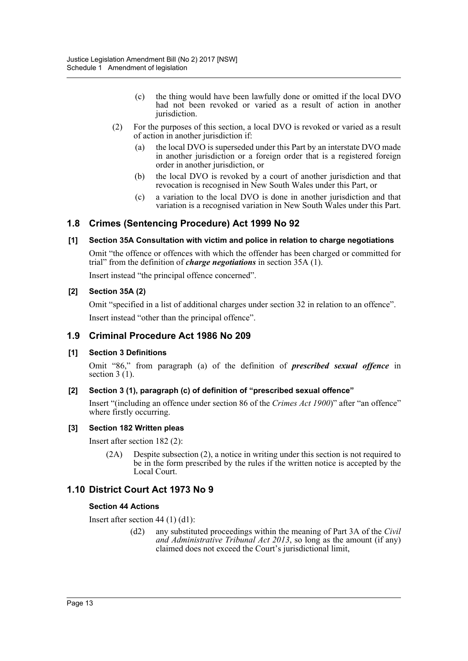- (c) the thing would have been lawfully done or omitted if the local DVO had not been revoked or varied as a result of action in another jurisdiction.
- (2) For the purposes of this section, a local DVO is revoked or varied as a result of action in another jurisdiction if:
	- (a) the local DVO is superseded under this Part by an interstate DVO made in another jurisdiction or a foreign order that is a registered foreign order in another jurisdiction, or
	- (b) the local DVO is revoked by a court of another jurisdiction and that revocation is recognised in New South Wales under this Part, or
	- (c) a variation to the local DVO is done in another jurisdiction and that variation is a recognised variation in New South Wales under this Part.

## **1.8 Crimes (Sentencing Procedure) Act 1999 No 92**

## **[1] Section 35A Consultation with victim and police in relation to charge negotiations**

Omit "the offence or offences with which the offender has been charged or committed for trial" from the definition of *charge negotiations* in section 35A (1).

Insert instead "the principal offence concerned".

#### **[2] Section 35A (2)**

Omit "specified in a list of additional charges under section 32 in relation to an offence". Insert instead "other than the principal offence".

## **1.9 Criminal Procedure Act 1986 No 209**

#### **[1] Section 3 Definitions**

Omit "86," from paragraph (a) of the definition of *prescribed sexual offence* in section 3 (1).

#### **[2] Section 3 (1), paragraph (c) of definition of "prescribed sexual offence"**

Insert "(including an offence under section 86 of the *Crimes Act 1900*)" after "an offence" where firstly occurring.

#### **[3] Section 182 Written pleas**

Insert after section 182 (2):

(2A) Despite subsection (2), a notice in writing under this section is not required to be in the form prescribed by the rules if the written notice is accepted by the Local Court.

## **1.10 District Court Act 1973 No 9**

#### **Section 44 Actions**

Insert after section 44 (1) (d1):

(d2) any substituted proceedings within the meaning of Part 3A of the *Civil and Administrative Tribunal Act 2013*, so long as the amount (if any) claimed does not exceed the Court's jurisdictional limit,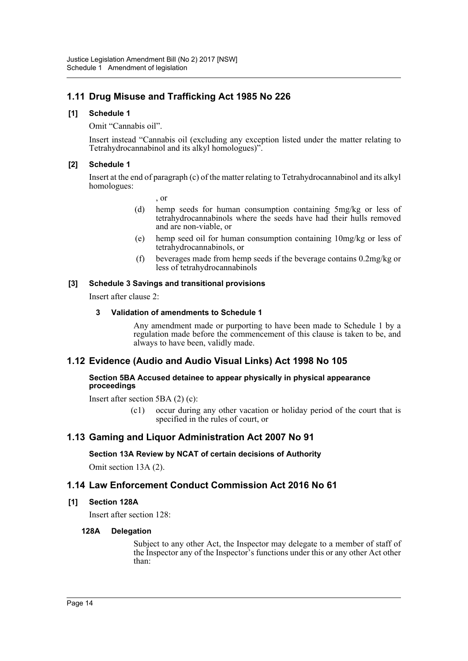## **1.11 Drug Misuse and Trafficking Act 1985 No 226**

## **[1] Schedule 1**

Omit "Cannabis oil".

Insert instead "Cannabis oil (excluding any exception listed under the matter relating to Tetrahydrocannabinol and its alkyl homologues)".

## **[2] Schedule 1**

Insert at the end of paragraph (c) of the matter relating to Tetrahydrocannabinol and its alkyl homologues:

, or

- (d) hemp seeds for human consumption containing 5mg/kg or less of tetrahydrocannabinols where the seeds have had their hulls removed and are non-viable, or
- (e) hemp seed oil for human consumption containing 10mg/kg or less of tetrahydrocannabinols, or
- (f) beverages made from hemp seeds if the beverage contains 0.2mg/kg or less of tetrahydrocannabinols

## **[3] Schedule 3 Savings and transitional provisions**

Insert after clause 2:

## **3 Validation of amendments to Schedule 1**

Any amendment made or purporting to have been made to Schedule 1 by a regulation made before the commencement of this clause is taken to be, and always to have been, validly made.

## **1.12 Evidence (Audio and Audio Visual Links) Act 1998 No 105**

#### **Section 5BA Accused detainee to appear physically in physical appearance proceedings**

Insert after section 5BA (2) (c):

(c1) occur during any other vacation or holiday period of the court that is specified in the rules of court, or

## **1.13 Gaming and Liquor Administration Act 2007 No 91**

## **Section 13A Review by NCAT of certain decisions of Authority**

Omit section 13A (2).

## **1.14 Law Enforcement Conduct Commission Act 2016 No 61**

#### **[1] Section 128A**

Insert after section 128:

#### **128A Delegation**

Subject to any other Act, the Inspector may delegate to a member of staff of the Inspector any of the Inspector's functions under this or any other Act other than: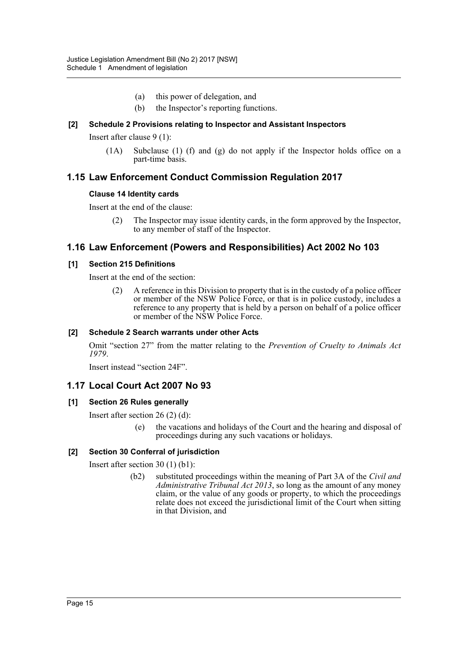- (a) this power of delegation, and
- (b) the Inspector's reporting functions.

## **[2] Schedule 2 Provisions relating to Inspector and Assistant Inspectors**

Insert after clause 9 (1):

(1A) Subclause (1) (f) and (g) do not apply if the Inspector holds office on a part-time basis.

## **1.15 Law Enforcement Conduct Commission Regulation 2017**

#### **Clause 14 Identity cards**

Insert at the end of the clause:

(2) The Inspector may issue identity cards, in the form approved by the Inspector, to any member of staff of the Inspector.

## **1.16 Law Enforcement (Powers and Responsibilities) Act 2002 No 103**

#### **[1] Section 215 Definitions**

Insert at the end of the section:

(2) A reference in this Division to property that is in the custody of a police officer or member of the NSW Police Force, or that is in police custody, includes a reference to any property that is held by a person on behalf of a police officer or member of the NSW Police Force.

#### **[2] Schedule 2 Search warrants under other Acts**

Omit "section 27" from the matter relating to the *Prevention of Cruelty to Animals Act 1979*.

Insert instead "section 24F".

## **1.17 Local Court Act 2007 No 93**

#### **[1] Section 26 Rules generally**

Insert after section 26 (2) (d):

the vacations and holidays of the Court and the hearing and disposal of proceedings during any such vacations or holidays.

## **[2] Section 30 Conferral of jurisdiction**

Insert after section 30 (1) (b1):

(b2) substituted proceedings within the meaning of Part 3A of the *Civil and Administrative Tribunal Act 2013*, so long as the amount of any money claim, or the value of any goods or property, to which the proceedings relate does not exceed the jurisdictional limit of the Court when sitting in that Division, and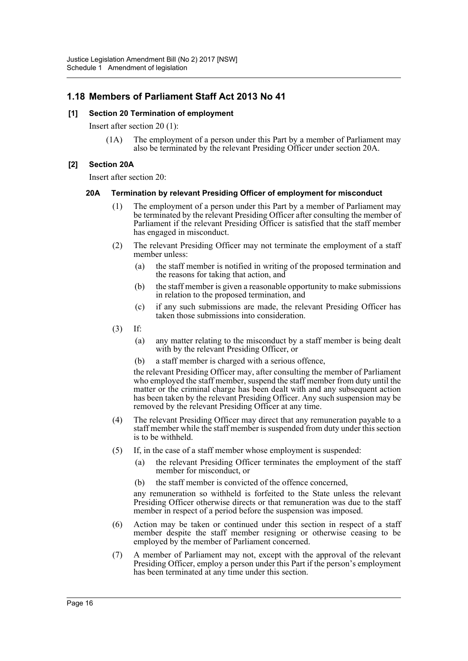## **1.18 Members of Parliament Staff Act 2013 No 41**

#### **[1] Section 20 Termination of employment**

Insert after section 20 (1):

(1A) The employment of a person under this Part by a member of Parliament may also be terminated by the relevant Presiding Officer under section 20A.

#### **[2] Section 20A**

Insert after section 20:

#### **20A Termination by relevant Presiding Officer of employment for misconduct**

- (1) The employment of a person under this Part by a member of Parliament may be terminated by the relevant Presiding Officer after consulting the member of Parliament if the relevant Presiding Officer is satisfied that the staff member has engaged in misconduct.
- (2) The relevant Presiding Officer may not terminate the employment of a staff member unless:
	- (a) the staff member is notified in writing of the proposed termination and the reasons for taking that action, and
	- (b) the staff member is given a reasonable opportunity to make submissions in relation to the proposed termination, and
	- (c) if any such submissions are made, the relevant Presiding Officer has taken those submissions into consideration.
- (3) If:
	- (a) any matter relating to the misconduct by a staff member is being dealt with by the relevant Presiding Officer, or
	- (b) a staff member is charged with a serious offence,

the relevant Presiding Officer may, after consulting the member of Parliament who employed the staff member, suspend the staff member from duty until the matter or the criminal charge has been dealt with and any subsequent action has been taken by the relevant Presiding Officer. Any such suspension may be removed by the relevant Presiding Officer at any time.

- (4) The relevant Presiding Officer may direct that any remuneration payable to a staff member while the staff member is suspended from duty under this section is to be withheld.
- (5) If, in the case of a staff member whose employment is suspended:
	- (a) the relevant Presiding Officer terminates the employment of the staff member for misconduct, or
	- (b) the staff member is convicted of the offence concerned,

any remuneration so withheld is forfeited to the State unless the relevant Presiding Officer otherwise directs or that remuneration was due to the staff member in respect of a period before the suspension was imposed.

- (6) Action may be taken or continued under this section in respect of a staff member despite the staff member resigning or otherwise ceasing to be employed by the member of Parliament concerned.
- (7) A member of Parliament may not, except with the approval of the relevant Presiding Officer, employ a person under this Part if the person's employment has been terminated at any time under this section.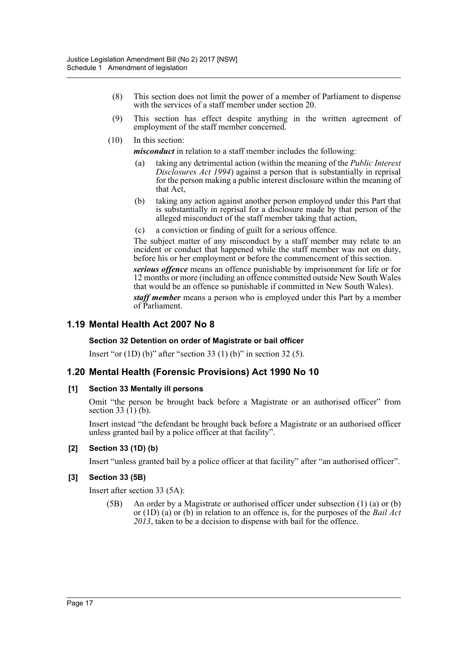- (8) This section does not limit the power of a member of Parliament to dispense with the services of a staff member under section 20.
- (9) This section has effect despite anything in the written agreement of employment of the staff member concerned.
- (10) In this section:

*misconduct* in relation to a staff member includes the following:

- (a) taking any detrimental action (within the meaning of the *Public Interest Disclosures Act 1994*) against a person that is substantially in reprisal for the person making a public interest disclosure within the meaning of that Act,
- (b) taking any action against another person employed under this Part that is substantially in reprisal for a disclosure made by that person of the alleged misconduct of the staff member taking that action,
- (c) a conviction or finding of guilt for a serious offence.

The subject matter of any misconduct by a staff member may relate to an incident or conduct that happened while the staff member was not on duty, before his or her employment or before the commencement of this section.

*serious offence* means an offence punishable by imprisonment for life or for 12 months or more (including an offence committed outside New South Wales that would be an offence so punishable if committed in New South Wales).

*staff member* means a person who is employed under this Part by a member of Parliament.

## **1.19 Mental Health Act 2007 No 8**

#### **Section 32 Detention on order of Magistrate or bail officer**

Insert "or  $(1D)$  (b)" after "section 33  $(1)$  (b)" in section 32  $(5)$ .

## **1.20 Mental Health (Forensic Provisions) Act 1990 No 10**

#### **[1] Section 33 Mentally ill persons**

Omit "the person be brought back before a Magistrate or an authorised officer" from section 33 $(1)$  $(b)$ .

Insert instead "the defendant be brought back before a Magistrate or an authorised officer unless granted bail by a police officer at that facility".

#### **[2] Section 33 (1D) (b)**

Insert "unless granted bail by a police officer at that facility" after "an authorised officer".

#### **[3] Section 33 (5B)**

Insert after section 33 (5A):

(5B) An order by a Magistrate or authorised officer under subsection (1) (a) or (b) or (1D) (a) or (b) in relation to an offence is, for the purposes of the *Bail Act 2013*, taken to be a decision to dispense with bail for the offence.